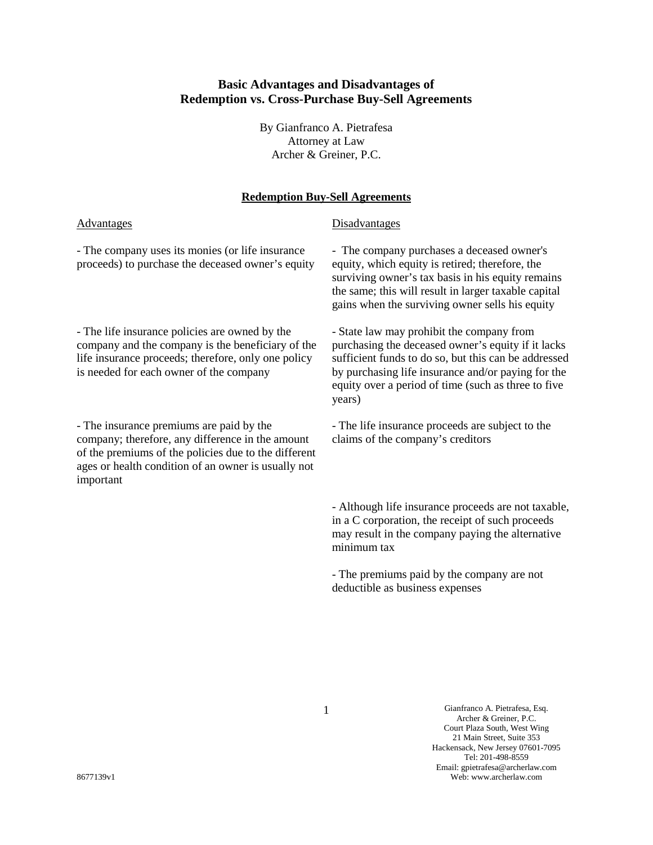# **Basic Advantages and Disadvantages of Redemption vs. Cross-Purchase Buy-Sell Agreements**

By Gianfranco A. Pietrafesa Attorney at Law Archer & Greiner, P.C.

### **Redemption Buy-Sell Agreements**

#### Advantages Disadvantages

- The company uses its monies (or life insurance proceeds) to purchase the deceased owner's equity

- The life insurance policies are owned by the company and the company is the beneficiary of the life insurance proceeds; therefore, only one policy is needed for each owner of the company

- The insurance premiums are paid by the company; therefore, any difference in the amount of the premiums of the policies due to the different ages or health condition of an owner is usually not important

- The company purchases a deceased owner's equity, which equity is retired; therefore, the surviving owner's tax basis in his equity remains the same; this will result in larger taxable capital gains when the surviving owner sells his equity

- State law may prohibit the company from purchasing the deceased owner's equity if it lacks sufficient funds to do so, but this can be addressed by purchasing life insurance and/or paying for the equity over a period of time (such as three to five years)

- The life insurance proceeds are subject to the claims of the company's creditors

- Although life insurance proceeds are not taxable, in a C corporation, the receipt of such proceeds may result in the company paying the alternative minimum tax

- The premiums paid by the company are not deductible as business expenses

1 Gianfranco A. Pietrafesa, Esq. Archer & Greiner, P.C. Court Plaza South, West Wing 21 Main Street, Suite 353 Hackensack, New Jersey 07601-7095 Tel: 201-498-8559 Email: gpietrafesa@archerlaw.com Web: www.archerlaw.com